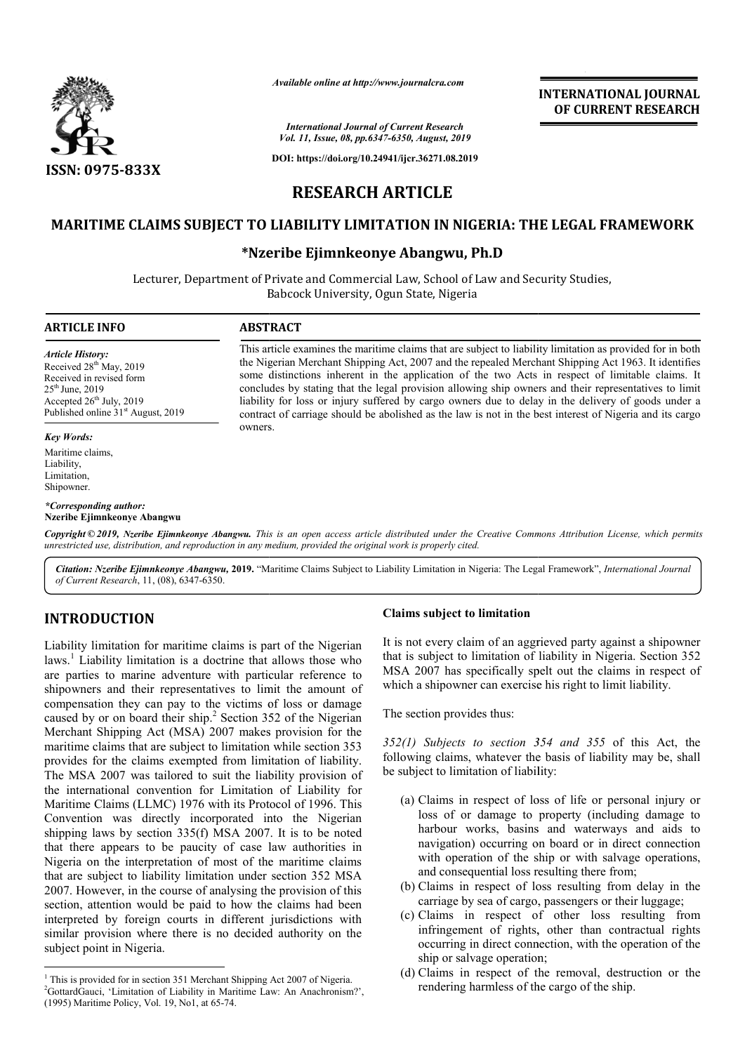

#### *International Journal of Current Research Vol. 11, Issue, 08, pp.6347-6350, August, 2019*

**DOI: https://doi.org/10.24941/ijcr.36271.08.2019**

# **INTERNATIONAL JOURNAL OF CURRENT RESEARCH**

# **RESEARCH ARTICLE**

## **MARITIME CLAIMS SUBJECT TO LIABILITY LIMITATION IN NIGERIA: THE LEGAL FRAMEWORK FRAMEWORK**

## **\*Nzeribe Ejimnkeonye Abangwu Nzeribe Abangwu, Ph.D**

Lecturer, Department of Private and Commercial Law, School of Law and Security Studies, Babcock University, Ogun State, Nigeria

#### **ARTICLE INFO ABSTRACT**

*Article History:* Received 28<sup>th</sup> May, 2019 Received in revised form  $25<sup>th</sup>$  June,  $2019$ Accepted  $26<sup>th</sup>$  July, 2019 Published online 31<sup>st</sup> August, 2019

#### *Key Words:*

Maritime claims, Liability, **Limitation** Shipowner.

*\*Corresponding author:*  **Nzeribe Ejimnkeonye Abangwu**

contract of carriage should be abolished as the law is not in the best interest of Nigeria and its cargo owners. *Available online at http://www.journalcra.com*<br> *Maternational Journal of Current Research*<br> *Vol. 11, Issue, 08, pp.6347-6350, August, 201*<br>
DOI: https://doi.org/10.24941/ijcr.36271.08.2<br> **RESEARCH ARTICLE**<br> **DLIABILITY** some distinctions inherent in the application of the two Acts in respect of limitable claims. It concludes by stating that the legal provision allowing ship owners and their representatives to limit liability for loss or i

This article examines the maritime claims that are subject to liability limitation as provided for in both the Nigerian Merchant Shipping Act, 2007 and the repealed Merchant Shipping Act 1963. It identifies some distinctions inherent in the application of the two Acts in respect of limitable claims. It concludes by stating that the legal provision allowing ship owners and their representatives to limit liability for loss or injury suffered by cargo owners due to delay in the delivery of goods under a

Copyright © 2019, Nzeribe Ejimnkeonye Abangwu. This is an open access article distributed under the Creative Commons Attribution License, which permits *unrestricted use, distribution, and reproduction in any medium, provided the original work is properly cited.*

Citation: Nzeribe Ejimnkeonye Abangwu, 2019. "Maritime Claims Subject to Liability Limitation in Nigeria: The Legal Framework", *International Journal of Current Research*, 11, (08), 6347-6350.

# **INTRODUCTION**

Liability limitation for maritime claims is part of the Nigerian  $laws.<sup>1</sup>$  Liability limitation is a doctrine that allows those who are parties to marine adventure with particular reference to shipowners and their representatives to limit the amount of compensation they can pay to the victims of loss or damage caused by or on board their ship.<sup>2</sup> Section 352 of the Nigerian Merchant Shipping Act (MSA) 2007 makes provision for the maritime claims that are subject to limitation while section 353 provides for the claims exempted from limitation of liability. The MSA 2007 was tailored to suit the liability provision of the international convention for Limitation of Liability for Maritime Claims (LLMC) 1976 with its Protocol of 1996. This Convention was directly incorporated into the Nigerian shipping laws by section 335(f) MSA 2007. It is to be noted that there appears to be paucity of case law authorities in Nigeria on the interpretation of most of the maritime claims that are subject to liability limitation under section 352 MSA 2007. However, in the course of analysing the provision of this section, attention would be paid to how the claims had been interpreted by foreign courts in different jurisdictions with similar provision where there is no decided authority on the subject point in Nigeria.

#### **Claims subject to limitation**

It is not every claim of an aggrieved party against a shipowner that is subject to limitation of liability in Nigeria. Section 352 MSA 2007 has specifically spelt out the claims in respect of which a shipowner can exercise his right to limit liability. not every claim of an aggrieved party against a shipovis subject to limitation of liability in Nigeria. Section A 2007 has specifically spelt out the claims in respection a shipowner can exercise his right to limit liabili

The section provides thus:

*352(1) Subjects to section 354 and 355 to 354* of this Act, the following claims, whatever the basis of liability may be, shall be subject to limitation of liability:

- (a) Claims in respect of loss of life or personal injury or loss of or damage to property (including damage to harbour works, basins and waterways and aids to navigation) occurring on board or in direct connection with operation of the ship or with salvage operations, and consequential loss resulting there from; in respect of loss of life or personal injury or of or damage to property (including damage to wur works, basins and waterways and aids to ation) occurring on board or in direct connection operation of the ship or with sal **INTERNATIONAL JOURNAL**<br> **IDENTAL COF CURRENT RESEARCH**<br> **IDENTAL COF CURRENT RESEARCH**<br> **IDENTAL COF CURRENT RESEARCH**<br> **IDENTAL OF CURRENT RESEARCH**<br> **IDENTAL OF CURRENT BESONAL (PIOP**)<br> **IDENTAL COFFICITION**<br> **IDENTA**
- (b) Claims in respect of loss resulting from delay in the carriage by sea of cargo, passengers or their luggage;
- (c) Claims in respect of other loss resulting from infringement of rights, other than contractual rights occurring in direct connection, with the operation of the ship or salvage operation;
- (d) Claims in respect of the removal, destruction or the rendering harmless of the cargo of the ship.

<sup>&</sup>lt;sup>1</sup> This is provided for in section 351 Merchant Shipping Act 2007 of Nigeria. <sup>2</sup>GottardGauci, 'Limitation of Liability in Maritime Law: An Anachronism?',

<sup>(1995)</sup> Maritime Policy, Vol. 19, No1, at 65-74.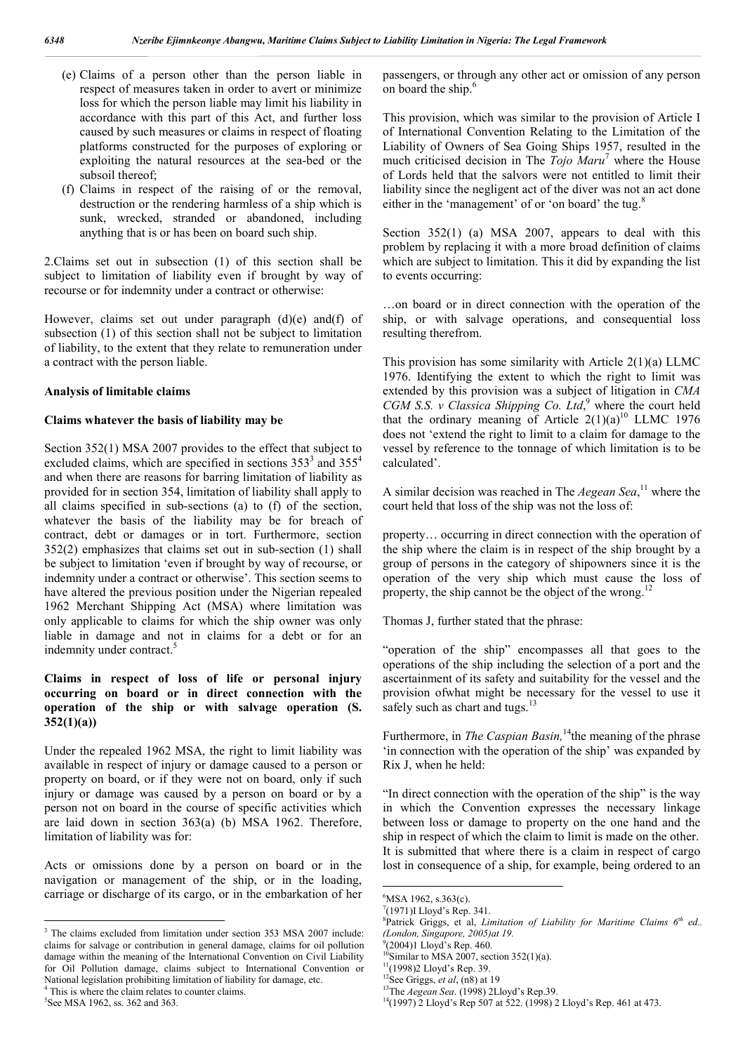- (e) Claims of a person other than the person liable in respect of measures taken in order to avert or minimize loss for which the person liable may limit his liability in accordance with this part of this Act, and further loss caused by such measures or claims in respect of floating platforms constructed for the purposes of exploring or exploiting the natural resources at the sea-bed or the subsoil thereof;
- (f) Claims in respect of the raising of or the removal, destruction or the rendering harmless of a ship which is sunk, wrecked, stranded or abandoned, including anything that is or has been on board such ship.

2.Claims set out in subsection (1) of this section shall be subject to limitation of liability even if brought by way of recourse or for indemnity under a contract or otherwise:

However, claims set out under paragraph (d)(e) and(f) of subsection (1) of this section shall not be subject to limitation of liability, to the extent that they relate to remuneration under a contract with the person liable.

#### **Analysis of limitable claims**

#### **Claims whatever the basis of liability may be**

Section 352(1) MSA 2007 provides to the effect that subject to excluded claims, which are specified in sections  $353<sup>3</sup>$  and  $355<sup>4</sup>$ and when there are reasons for barring limitation of liability as provided for in section 354, limitation of liability shall apply to all claims specified in sub-sections (a) to (f) of the section, whatever the basis of the liability may be for breach of contract, debt or damages or in tort. Furthermore, section 352(2) emphasizes that claims set out in sub-section (1) shall be subject to limitation 'even if brought by way of recourse, or indemnity under a contract or otherwise'. This section seems to have altered the previous position under the Nigerian repealed 1962 Merchant Shipping Act (MSA) where limitation was only applicable to claims for which the ship owner was only liable in damage and not in claims for a debt or for an indemnity under contract.<sup>5</sup>

## **Claims in respect of loss of life or personal injury occurring on board or in direct connection with the operation of the ship or with salvage operation (S. 352(1)(a))**

Under the repealed 1962 MSA, the right to limit liability was available in respect of injury or damage caused to a person or property on board, or if they were not on board, only if such injury or damage was caused by a person on board or by a person not on board in the course of specific activities which are laid down in section 363(a) (b) MSA 1962. Therefore, limitation of liability was for:

Acts or omissions done by a person on board or in the navigation or management of the ship, or in the loading, carriage or discharge of its cargo, or in the embarkation of her

5 See MSA 1962, ss. 362 and 363.

passengers, or through any other act or omission of any person on board the ship.<sup>6</sup>

This provision, which was similar to the provision of Article I of International Convention Relating to the Limitation of the Liability of Owners of Sea Going Ships 1957, resulted in the much criticised decision in The *Tojo Maru*<sup>7</sup> where the House of Lords held that the salvors were not entitled to limit their liability since the negligent act of the diver was not an act done either in the 'management' of or 'on board' the tug.<sup>8</sup>

Section 352(1) (a) MSA 2007, appears to deal with this problem by replacing it with a more broad definition of claims which are subject to limitation. This it did by expanding the list to events occurring:

…on board or in direct connection with the operation of the ship, or with salvage operations, and consequential loss resulting therefrom.

This provision has some similarity with Article  $2(1)(a)$  LLMC 1976. Identifying the extent to which the right to limit was extended by this provision was a subject of litigation in *CMA CGM S.S. v Classica Shipping Co. Ltd*, <sup>9</sup> where the court held that the ordinary meaning of Article  $2(1)(a)^{10}$  LLMC 1976 does not 'extend the right to limit to a claim for damage to the vessel by reference to the tonnage of which limitation is to be calculated'.

A similar decision was reached in The *Aegean Sea*<sup>11</sup> where the court held that loss of the ship was not the loss of:

property… occurring in direct connection with the operation of the ship where the claim is in respect of the ship brought by a group of persons in the category of shipowners since it is the operation of the very ship which must cause the loss of property, the ship cannot be the object of the wrong.<sup>12</sup>

Thomas J, further stated that the phrase:

"operation of the ship" encompasses all that goes to the operations of the ship including the selection of a port and the ascertainment of its safety and suitability for the vessel and the provision ofwhat might be necessary for the vessel to use it safely such as chart and tugs.<sup>13</sup>

Furthermore, in *The Caspian Basin*,<sup>14</sup>the meaning of the phrase 'in connection with the operation of the ship' was expanded by Rix J, when he held:

"In direct connection with the operation of the ship" is the way in which the Convention expresses the necessary linkage between loss or damage to property on the one hand and the ship in respect of which the claim to limit is made on the other. It is submitted that where there is a claim in respect of cargo lost in consequence of a ship, for example, being ordered to an

<sup>&</sup>lt;sup>3</sup> The claims excluded from limitation under section 353 MSA 2007 include: claims for salvage or contribution in general damage, claims for oil pollution damage within the meaning of the International Convention on Civil Liability for Oil Pollution damage, claims subject to International Convention or National legislation prohibiting limitation of liability for damage, etc. This is where the claim relates to counter claims.

 $-$ <br>6 <sup>6</sup>MSA 1962, s.363(c).

<sup>7</sup> (1971)I Lloyd's Rep. 341.

<sup>8</sup> Patrick Griggs, et al, *Limitation of Liability for Maritime Claims 6th ed.. (London, Singapore, 2005)at 19.*

<sup>9</sup> (2004)1 Lloyd's Rep. 460.

<sup>&</sup>lt;sup>0</sup>Similar to MSA 2007, section  $352(1)(a)$ .

 $11(1998)$ 2 Lloyd's Rep. 39.

<sup>&</sup>lt;sup>12</sup>See Griggs, *et al*, (n8) at 19<br><sup>13</sup>The *Aegean Sea*. (1998) 2Lloyd's Rep.39.

<sup>&</sup>lt;sup>14</sup>(1997) 2 Lloyd's Rep 507 at 522. (1998) 2 Lloyd's Rep. 461 at 473.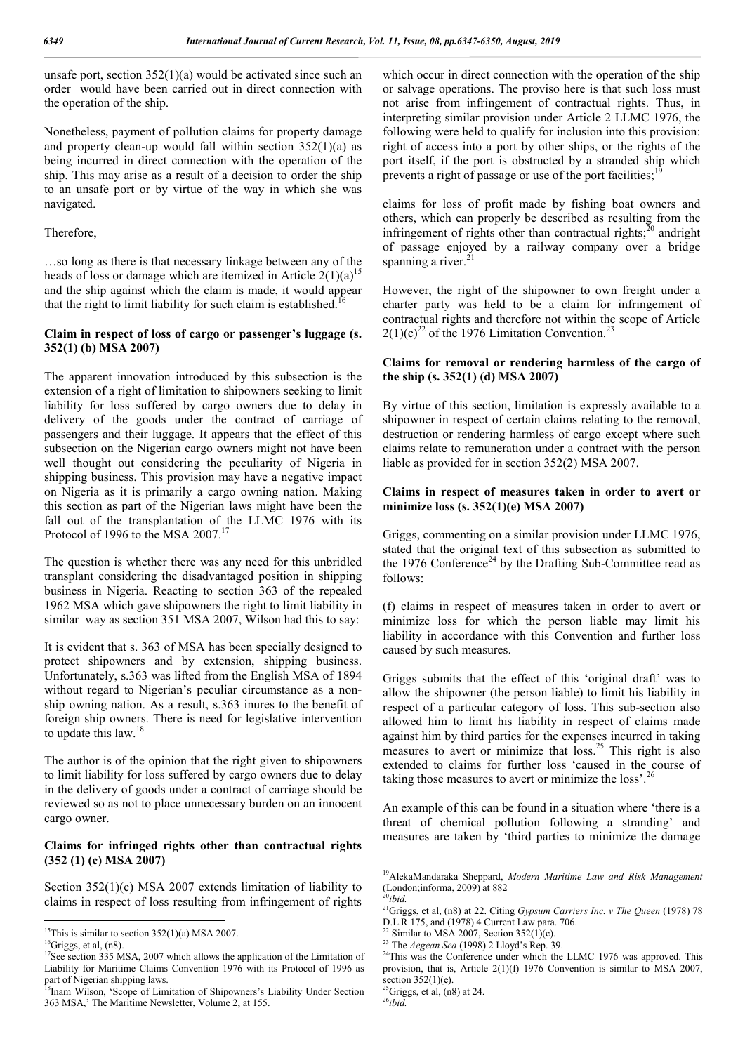unsafe port, section  $352(1)(a)$  would be activated since such an order would have been carried out in direct connection with the operation of the ship.

Nonetheless, payment of pollution claims for property damage and property clean-up would fall within section  $352(1)(a)$  as being incurred in direct connection with the operation of the ship. This may arise as a result of a decision to order the ship to an unsafe port or by virtue of the way in which she was navigated.

#### Therefore,

…so long as there is that necessary linkage between any of the heads of loss or damage which are itemized in Article  $2(1)(a)^{15}$ and the ship against which the claim is made, it would appear that the right to limit liability for such claim is established.<sup>1</sup>

#### **Claim in respect of loss of cargo or passenger's luggage (s. 352(1) (b) MSA 2007)**

The apparent innovation introduced by this subsection is the extension of a right of limitation to shipowners seeking to limit liability for loss suffered by cargo owners due to delay in delivery of the goods under the contract of carriage of passengers and their luggage. It appears that the effect of this subsection on the Nigerian cargo owners might not have been well thought out considering the peculiarity of Nigeria in shipping business. This provision may have a negative impact on Nigeria as it is primarily a cargo owning nation. Making this section as part of the Nigerian laws might have been the fall out of the transplantation of the LLMC 1976 with its Protocol of 1996 to the MSA  $2007$ .<sup>17</sup>

The question is whether there was any need for this unbridled transplant considering the disadvantaged position in shipping business in Nigeria. Reacting to section 363 of the repealed 1962 MSA which gave shipowners the right to limit liability in similar way as section 351 MSA 2007, Wilson had this to say:

It is evident that s. 363 of MSA has been specially designed to protect shipowners and by extension, shipping business. Unfortunately, s.363 was lifted from the English MSA of 1894 without regard to Nigerian's peculiar circumstance as a nonship owning nation. As a result, s.363 inures to the benefit of foreign ship owners. There is need for legislative intervention to update this law.<sup>18</sup>

The author is of the opinion that the right given to shipowners to limit liability for loss suffered by cargo owners due to delay in the delivery of goods under a contract of carriage should be reviewed so as not to place unnecessary burden on an innocent cargo owner.

#### **Claims for infringed rights other than contractual rights (352 (1) (c) MSA 2007)**

Section 352(1)(c) MSA 2007 extends limitation of liability to claims in respect of loss resulting from infringement of rights which occur in direct connection with the operation of the ship or salvage operations. The proviso here is that such loss must not arise from infringement of contractual rights. Thus, in interpreting similar provision under Article 2 LLMC 1976, the following were held to qualify for inclusion into this provision: right of access into a port by other ships, or the rights of the port itself, if the port is obstructed by a stranded ship which prevents a right of passage or use of the port facilities;

claims for loss of profit made by fishing boat owners and others, which can properly be described as resulting from the infringement of rights other than contractual rights; $^{20}$  andright of passage enjoyed by a railway company over a bridge spanning a river.

However, the right of the shipowner to own freight under a charter party was held to be a claim for infringement of contractual rights and therefore not within the scope of Article  $2(1)(c)^{22}$  of the 1976 Limitation Convention.<sup>23</sup>

### **Claims for removal or rendering harmless of the cargo of the ship (s. 352(1) (d) MSA 2007)**

By virtue of this section, limitation is expressly available to a shipowner in respect of certain claims relating to the removal, destruction or rendering harmless of cargo except where such claims relate to remuneration under a contract with the person liable as provided for in section 352(2) MSA 2007.

#### **Claims in respect of measures taken in order to avert or minimize loss (s. 352(1)(e) MSA 2007)**

Griggs, commenting on a similar provision under LLMC 1976, stated that the original text of this subsection as submitted to the 1976 Conference<sup>24</sup> by the Drafting Sub-Committee read as follows:

(f) claims in respect of measures taken in order to avert or minimize loss for which the person liable may limit his liability in accordance with this Convention and further loss caused by such measures.

Griggs submits that the effect of this 'original draft' was to allow the shipowner (the person liable) to limit his liability in respect of a particular category of loss. This sub-section also allowed him to limit his liability in respect of claims made against him by third parties for the expenses incurred in taking measures to avert or minimize that loss.<sup>25</sup> This right is also extended to claims for further loss 'caused in the course of taking those measures to avert or minimize the loss'.<sup>26</sup>

An example of this can be found in a situation where 'there is a threat of chemical pollution following a stranding' and measures are taken by 'third parties to minimize the damage

<sup>26</sup>*ibid.*

<sup>&</sup>lt;sup>15</sup>This is similar to section  $352(1)(a)$  MSA 2007.

 ${}^{16}$ Griggs, et al, (n8).

<sup>&</sup>lt;sup>17</sup>See section 335 MSA, 2007 which allows the application of the Limitation of Liability for Maritime Claims Convention 1976 with its Protocol of 1996 as part of Nigerian shipping laws.

<sup>&</sup>lt;sup>8</sup>Inam Wilson, 'Scope of Limitation of Shipowners's Liability Under Section 363 MSA,' The Maritime Newsletter, Volume 2, at 155.

 <sup>19</sup>AlekaMandaraka Sheppard, *Modern Maritime Law and Risk Management* (London;informa, 2009) at 882  $^0$ ihid.

<sup>21</sup>Griggs, et al, (n8) at 22. Citing *Gypsum Carriers Inc. v The Queen* (1978) 78 D.L.R 175, and (1978) 4 Current Law para. 706.

<sup>&</sup>lt;sup>22</sup> Similar to MSA 2007, Section 352(1)(c).

<sup>23</sup> The *Aegean Sea* (1998) 2 Lloyd's Rep. 39.

<sup>&</sup>lt;sup>24</sup>This was the Conference under which the LLMC 1976 was approved. This provision, that is, Article 2(1)(f) 1976 Convention is similar to MSA 2007, section  $352(1)(e)$ .

 ${}^{5}$ Griggs, et al, (n8) at 24.